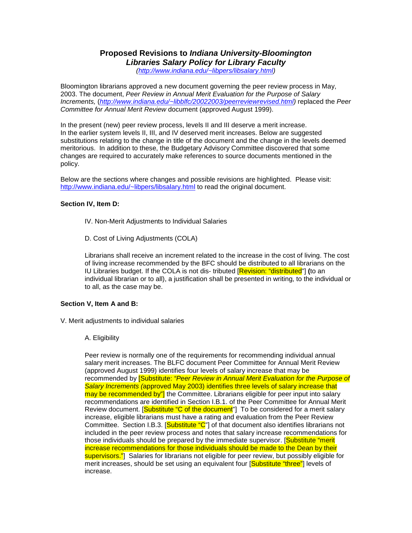# **Proposed Revisions to** *Indiana University-Bloomington Libraries Salary Policy for Library Faculty*

*[\(http://www.indiana.edu/~libpers/libsalary.html\)](http://www.indiana.edu/%7Elibpers/libsalary.html)*

Bloomington librarians approved a new document governing the peer review process in May, 2003. The document, *Peer Review in Annual Merit Evaluation for the Purpose of Salary Increments,* (*[http://www.indiana.edu/~libblfc/20022003/peerreviewrevised.html\)](http://www.indiana.edu/%7Elibblfc/20022003/peerreviewrevised.html)* replaced the *Peer Committee for Annual Merit Review* document (approved August 1999).

In the present (new) peer review process, levels II and III deserve a merit increase. In the earlier system levels II, III, and IV deserved merit increases. Below are suggested substitutions relating to the change in title of the document and the change in the levels deemed meritorious. In addition to these, the Budgetary Advisory Committee discovered that some changes are required to accurately make references to source documents mentioned in the policy.

Below are the sections where changes and possible revisions are highlighted. Please visit: [http://www.indiana.edu/~libpers/libsalary.html](http://www.indiana.edu/%7Elibpers/libsalary.html) to read the original document.

### **Section IV, Item D:**

- IV. Non-Merit Adjustments to Individual Salaries
- D. Cost of Living Adjustments (COLA)

Librarians shall receive an increment related to the increase in the cost of living. The cost of living increase recommended by the BFC should be distributed to all librarians on the IU Libraries budget. If the COLA is not dis- tributed [Revision: "distributed"] **(**to an individual librarian or to all), a justification shall be presented in writing, to the individual or to all, as the case may be.

### **Section V, Item A and B:**

V. Merit adjustments to individual salaries

#### A. Eligibility

Peer review is normally one of the requirements for recommending individual annual salary merit increases. The BLFC document Peer Committee for Annual Merit Review (approved August 1999) identifies four levels of salary increase that may be recommended by [Substitute: *"Peer Review in Annual Merit Evaluation for the Purpose of Salary Increments (*approved May 2003) identifies three levels of salary increase that may be recommended by"] the Committee. Librarians eligible for peer input into salary recommendations are identified in Section I.B.1. of the Peer Committee for Annual Merit Review document. [Substitute "C of the document"] To be considered for a merit salary increase, eligible librarians must have a rating and evaluation from the Peer Review Committee. Section I.B.3. [Substitute "C"] of that document also identifies librarians not included in the peer review process and notes that salary increase recommendations for those individuals should be prepared by the immediate supervisor. [Substitute "merit increase recommendations for those individuals should be made to the Dean by their supervisors."] Salaries for librarians not eligible for peer review, but possibly eligible for merit increases, should be set using an equivalent four [Substitute "three"] levels of increase.